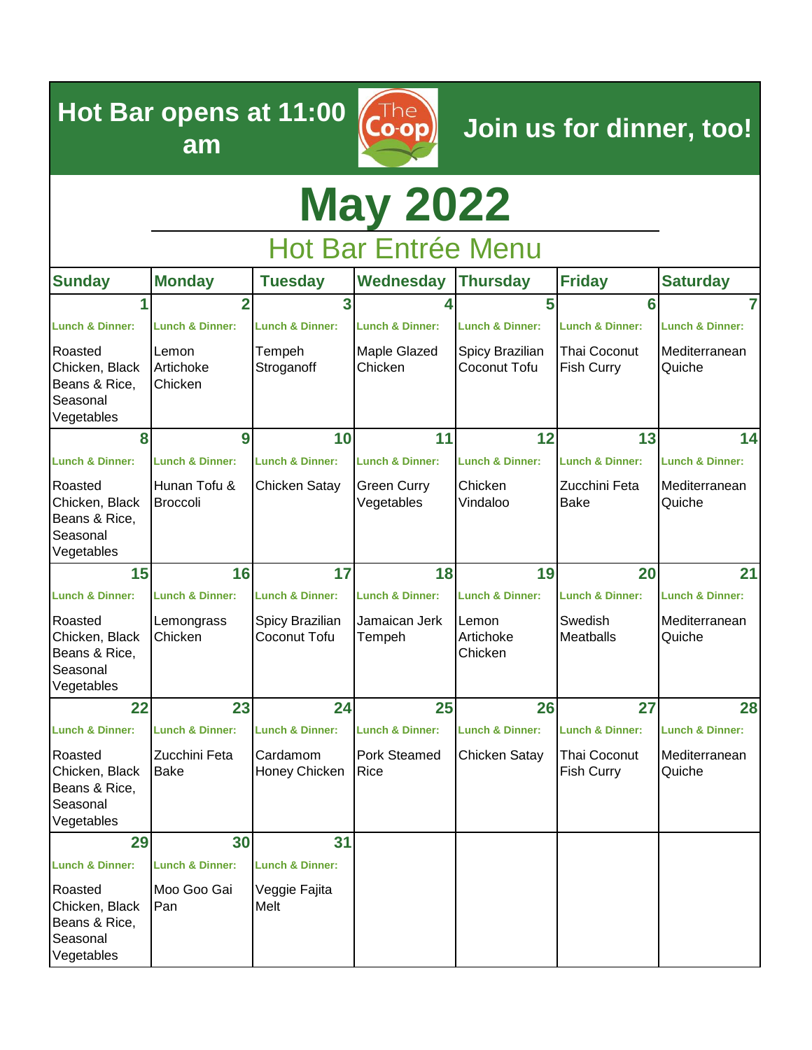**Hot Bar opens at 11:00 am**

**Join us for dinner, too!**

# **May 2022**

 $\overline{\mathsf{Co}\text{-op}}$ 

Hot Bar Entrée Menu

| <b>Sunday</b>                                                        | <b>Monday</b>                   | <b>Tuesday</b>                  | Wednesday                   | <b>Thursday</b>                 | <b>Friday</b>                            | <b>Saturday</b>            |
|----------------------------------------------------------------------|---------------------------------|---------------------------------|-----------------------------|---------------------------------|------------------------------------------|----------------------------|
|                                                                      | $\overline{2}$                  | 3                               |                             | 5                               | 6                                        | 7                          |
| <b>Lunch &amp; Dinner:</b>                                           | <b>Lunch &amp; Dinner:</b>      | <b>Lunch &amp; Dinner:</b>      | <b>Lunch &amp; Dinner:</b>  | <b>Lunch &amp; Dinner:</b>      | <b>Lunch &amp; Dinner:</b>               | <b>Lunch &amp; Dinner:</b> |
| Roasted<br>Chicken, Black<br>Beans & Rice,<br>Seasonal<br>Vegetables | Lemon<br>Artichoke<br>Chicken   | Tempeh<br>Stroganoff            | Maple Glazed<br>Chicken     | Spicy Brazilian<br>Coconut Tofu | <b>Thai Coconut</b><br><b>Fish Curry</b> | Mediterranean<br>Quiche    |
| 8                                                                    | 9                               | 10                              | 11                          | 12                              | 13                                       | 14                         |
| <b>Lunch &amp; Dinner:</b>                                           | <b>Lunch &amp; Dinner:</b>      | <b>Lunch &amp; Dinner:</b>      | <b>Lunch &amp; Dinner:</b>  | <b>Lunch &amp; Dinner:</b>      | <b>Lunch &amp; Dinner:</b>               | <b>Lunch &amp; Dinner:</b> |
| Roasted<br>Chicken, Black<br>Beans & Rice,<br>Seasonal<br>Vegetables | Hunan Tofu &<br><b>Broccoli</b> | <b>Chicken Satay</b>            | Green Curry<br>Vegetables   | Chicken<br>Vindaloo             | Zucchini Feta<br><b>Bake</b>             | Mediterranean<br>Quiche    |
| 15                                                                   | 16                              | 17                              | 18                          | 19                              | 20                                       | 21                         |
| <b>Lunch &amp; Dinner:</b>                                           | <b>Lunch &amp; Dinner:</b>      | <b>Lunch &amp; Dinner:</b>      | <b>Lunch &amp; Dinner:</b>  | <b>Lunch &amp; Dinner:</b>      | <b>Lunch &amp; Dinner:</b>               | <b>Lunch &amp; Dinner:</b> |
| Roasted<br>Chicken, Black<br>Beans & Rice,<br>Seasonal<br>Vegetables | Lemongrass<br>Chicken           | Spicy Brazilian<br>Coconut Tofu | Jamaican Jerk<br>Tempeh     | Lemon<br>Artichoke<br>Chicken   | Swedish<br><b>Meatballs</b>              | Mediterranean<br>Quiche    |
| 22                                                                   | 23                              | 24                              | 25                          | 26                              | 27                                       | 28                         |
| <b>Lunch &amp; Dinner:</b>                                           | <b>Lunch &amp; Dinner:</b>      | <b>Lunch &amp; Dinner:</b>      | <b>Lunch &amp; Dinner:</b>  | <b>Lunch &amp; Dinner:</b>      | <b>Lunch &amp; Dinner:</b>               | <b>Lunch &amp; Dinner:</b> |
| Roasted<br>Chicken, Black<br>Beans & Rice,<br>Seasonal<br>Vegetables | Zucchini Feta<br>Bake           | Cardamom<br>Honey Chicken       | <b>Pork Steamed</b><br>Rice | Chicken Satay                   | Thai Coconut<br><b>Fish Curry</b>        | Mediterranean<br>Quiche    |
| 29                                                                   | 30                              | 31                              |                             |                                 |                                          |                            |
| <b>Lunch &amp; Dinner:</b>                                           | <b>Lunch &amp; Dinner:</b>      | <b>Lunch &amp; Dinner:</b>      |                             |                                 |                                          |                            |
| Roasted<br>Chicken, Black<br>Beans & Rice,<br>Seasonal<br>Vegetables | Moo Goo Gai<br>Pan              | Veggie Fajita<br>Melt           |                             |                                 |                                          |                            |